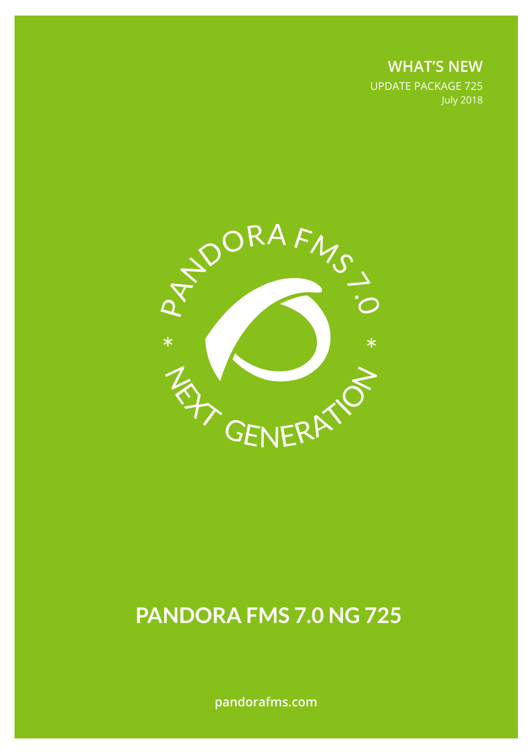**WHAT'S NEW** UPDATE PACKAGE 725 July 2018



# **PANDORA FMS 7.0 NG 725**

**pandorafms.com**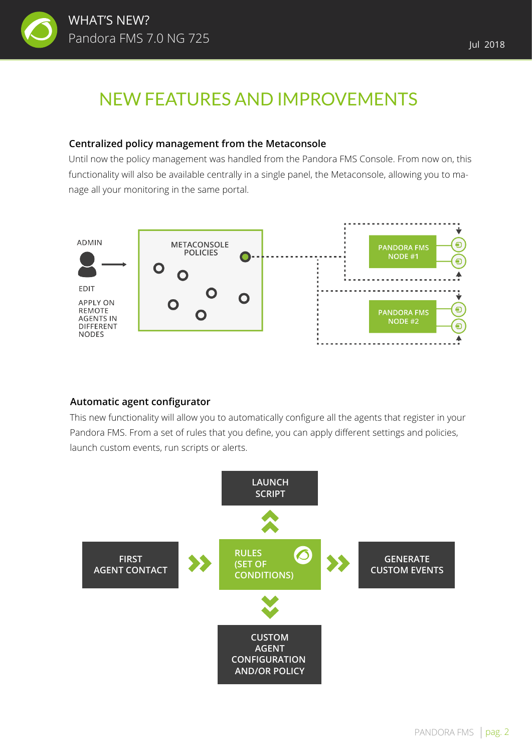

## NEW FEATURES AND IMPROVEMENTS

#### **Centralized policy management from the Metaconsole**

Until now the policy management was handled from the Pandora FMS Console. From now on, this functionality will also be available centrally in a single panel, the Metaconsole, allowing you to manage all your monitoring in the same portal.



#### **Automatic agent configurator**

This new functionality will allow you to automatically configure all the agents that register in your Pandora FMS. From a set of rules that you define, you can apply different settings and policies, launch custom events, run scripts or alerts.

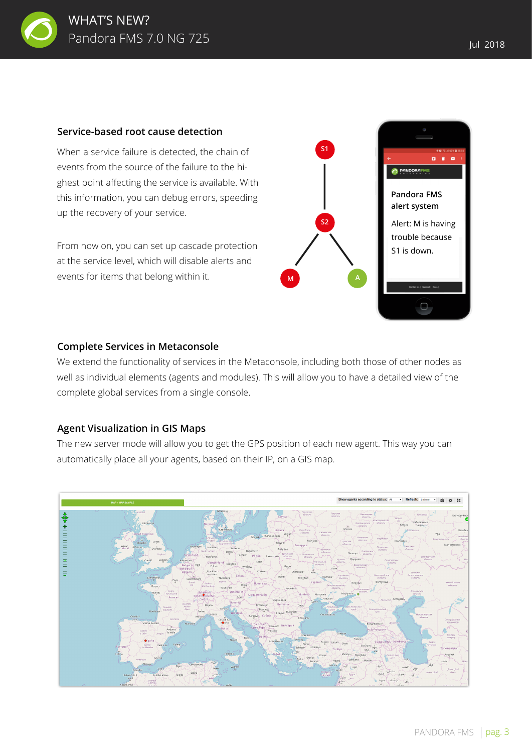

#### **Service-based root cause detection**

When a service failure is detected, the chain of events from the source of the failure to the highest point affecting the service is available. With this information, you can debug errors, speeding up the recovery of your service.

From now on, you can set up cascade protection at the service level, which will disable alerts and events for items that belong within it.



#### **Complete Services in Metaconsole**

We extend the functionality of services in the Metaconsole, including both those of other nodes as well as individual elements (agents and modules). This will allow you to have a detailed view of the complete global services from a single console.

#### **Agent Visualization in GIS Maps**

The new server mode will allow you to get the GPS position of each new agent. This way you can automatically place all your agents, based on their IP, on a GIS map.

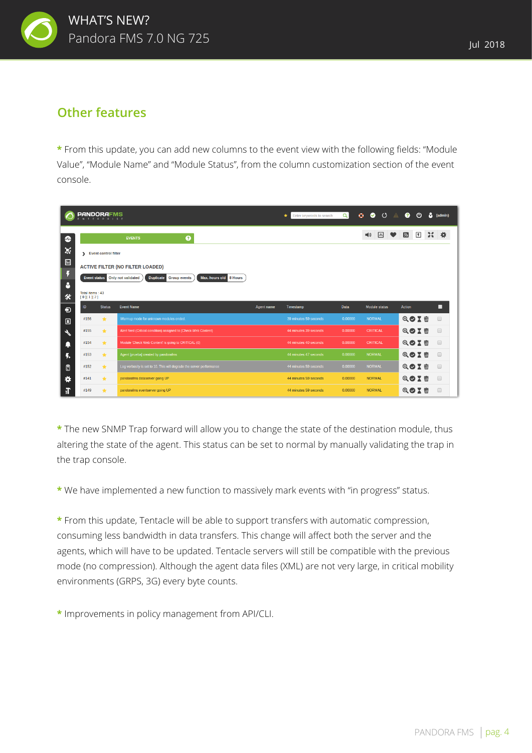

### **Other features**

**\*** From this update, you can add new columns to the event view with the following fields: "Module Value", "Module Name" and "Module Status", from the column customization section of the event console.

|                                  | <b>PANDORAFMS</b>                                                                             | ERPRISE                                 |                                                                      |                   | Enter keywords to search<br>* | $\alpha$ | $\bullet$<br>$\bullet$<br>$\lambda$ | $\mathbf{r}$<br>ጣ     | (admin) |  |
|----------------------------------|-----------------------------------------------------------------------------------------------|-----------------------------------------|----------------------------------------------------------------------|-------------------|-------------------------------|----------|-------------------------------------|-----------------------|---------|--|
| $\bullet$                        |                                                                                               |                                         | ◉<br><b>EVENTS</b>                                                   |                   |                               |          | $\sqrt{a}$ ,<br>■③                  | $\sqrt{ }$<br>Ы<br>30 |         |  |
| X                                | > Event control filter                                                                        |                                         |                                                                      |                   |                               |          |                                     |                       |         |  |
| $\boxed{\text{b}}$               |                                                                                               | <b>ACTIVE FILTER (NO FILTER LOADED)</b> |                                                                      |                   |                               |          |                                     |                       |         |  |
| Ŧ<br>8                           | <b>Duplicate Group events</b><br>Max. hours old 8 Hours<br>Only not validated<br>Event status |                                         |                                                                      |                   |                               |          |                                     |                       |         |  |
| 氽                                |                                                                                               | Total items: 43<br>[0][1][2]            |                                                                      |                   |                               |          |                                     |                       |         |  |
| $\boldsymbol{\Theta}$            | ID                                                                                            | <b>Status</b>                           | <b>Event Name</b>                                                    | <b>Agent name</b> | Timestamp                     | Data     | <b>Module status</b>                | <b>Action</b>         | ■       |  |
| $\boxed{\underline{\mathbf{B}}}$ | #156                                                                                          | $\star$                                 | Warmup mode for unknown modules ended.                               |                   | 39 minutes 59 seconds         | 0.00000  | <b>NORMAL</b>                       | QOIT                  | $\Box$  |  |
| $\overline{\mathcal{X}}$         | #155                                                                                          | $\star$                                 | Alert fired (Critical condition) assigned to (Check Web Content)     |                   | 44 minutes 39 seconds         | 0.00000  | <b>CRITICAL</b>                     | QOXT                  | $\Box$  |  |
|                                  | #154                                                                                          | $\star$                                 | Module 'Check Web Content' is going to CRITICAL (0)                  |                   | 44 minutes 40 seconds         | 0.00000  | <b>CRITICAL</b>                     | QOIT                  | $\Box$  |  |
| ł.                               | #153                                                                                          | $\star$                                 | Agent [prueba] created by pandorafms                                 |                   | 44 minutes 47 seconds         | 0.00000  | <b>NORMAL</b>                       | QOIM                  | $\Box$  |  |
| 目                                | #152                                                                                          | $\star$                                 | Log verbosity is set to 10. This will degrade the server performance |                   | 44 minutes 59 seconds         | 0.00000  | <b>NORMAL</b>                       | QOX ti                | $\Box$  |  |
| ۰                                | #141                                                                                          | $\star$                                 | pandorafms dataserver going UP                                       |                   | 44 minutes 59 seconds         | 0.00000  | <b>NORMAL</b>                       | QOIT                  | $\Box$  |  |
| Æľ                               | #149                                                                                          | $\star$                                 | pandorafms eventserver going UP                                      |                   | 44 minutes 59 seconds         | 0.00000  | <b>NORMAL</b>                       | Q<br>$\overline{m}$   | $\Box$  |  |

**\*** The new SNMP Trap forward will allow you to change the state of the destination module, thus altering the state of the agent. This status can be set to normal by manually validating the trap in the trap console.

**\*** We have implemented a new function to massively mark events with "in progress" status.

**\*** From this update, Tentacle will be able to support transfers with automatic compression, consuming less bandwidth in data transfers. This change will affect both the server and the agents, which will have to be updated. Tentacle servers will still be compatible with the previous mode (no compression). Although the agent data files (XML) are not very large, in critical mobility environments (GRPS, 3G) every byte counts.

**\*** Improvements in policy management from API/CLI.